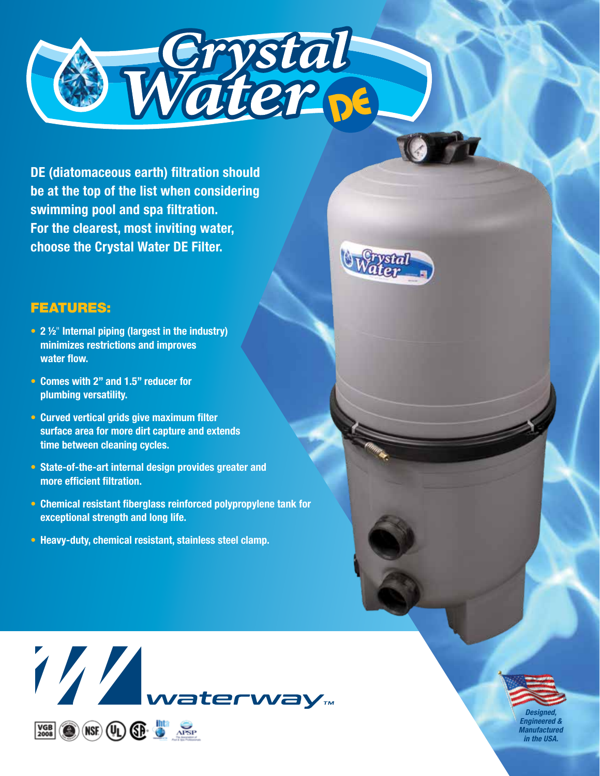

**DE (diatomaceous earth) filtration should be at the top of the list when considering swimming pool and spa filtration. For the clearest, most inviting water, choose the Crystal Water DE Filter.**

## FEATURES:

- **2 ½**" **Internal piping (largest in the industry) minimizes restrictions and improves water flow.**
- **Comes with 2" and 1.5" reducer for plumbing versatility.**
- **Curved vertical grids give maximum filter surface area for more dirt capture and extends time between cleaning cycles.**
- **State-of-the-art internal design provides greater and more efficient filtration.**
- **Chemical resistant fiberglass reinforced polypropylene tank for exceptional strength and long life.**
- **Heavy-duty, chemical resistant, stainless steel clamp.**